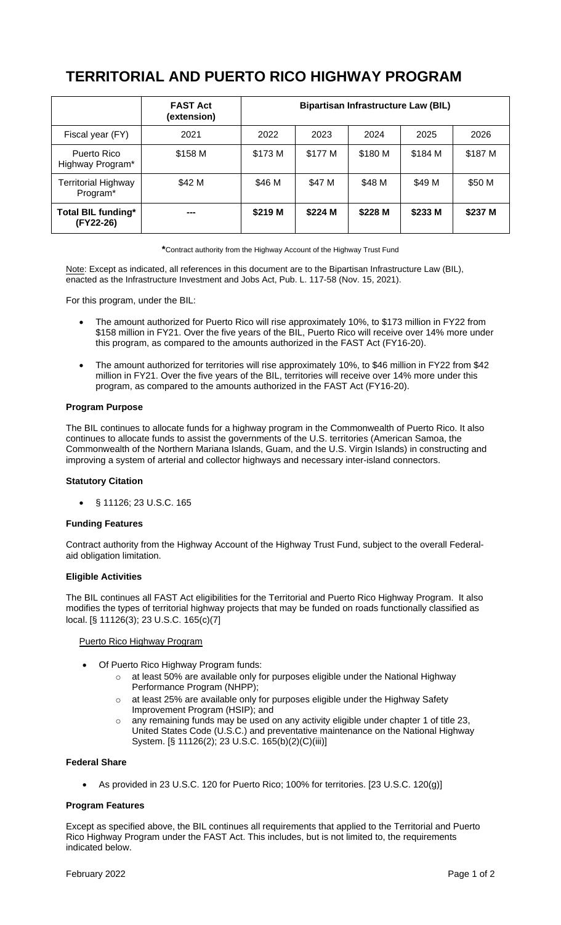# **TERRITORIAL AND PUERTO RICO HIGHWAY PROGRAM**

|                                             | <b>FAST Act</b><br>(extension) | <b>Bipartisan Infrastructure Law (BIL)</b> |         |         |         |         |
|---------------------------------------------|--------------------------------|--------------------------------------------|---------|---------|---------|---------|
| Fiscal year (FY)                            | 2021                           | 2022                                       | 2023    | 2024    | 2025    | 2026    |
| Puerto Rico<br>Highway Program*             | \$158 M                        | \$173 M                                    | \$177 M | \$180 M | \$184 M | \$187 M |
| Territorial Highway<br>Program <sup>*</sup> | \$42 M                         | \$46 M                                     | \$47 M  | \$48 M  | \$49 M  | \$50 M  |
| <b>Total BIL funding*</b><br>(FY22-26)      |                                | \$219 M                                    | \$224 M | \$228 M | \$233 M | \$237 M |

**\***Contract authority from the Highway Account of the Highway Trust Fund

Note: Except as indicated, all references in this document are to the Bipartisan Infrastructure Law (BIL), enacted as the Infrastructure Investment and Jobs Act, Pub. L. 117-58 (Nov. 15, 2021).

For this program, under the BIL:

- The amount authorized for Puerto Rico will rise approximately 10%, to \$173 million in FY22 from \$158 million in FY21. Over the five years of the BIL, Puerto Rico will receive over 14% more under this program, as compared to the amounts authorized in the FAST Act (FY16-20).
- The amount authorized for territories will rise approximately 10%, to \$46 million in FY22 from \$42 million in FY21. Over the five years of the BIL, territories will receive over 14% more under this program, as compared to the amounts authorized in the FAST Act (FY16-20).

#### **Program Purpose**

The BIL continues to allocate funds for a highway program in the Commonwealth of Puerto Rico. It also continues to allocate funds to assist the governments of the U.S. territories (American Samoa, the Commonwealth of the Northern Mariana Islands, Guam, and the U.S. Virgin Islands) in constructing and improving a system of arterial and collector highways and necessary inter-island connectors.

## **Statutory Citation**

§ 11126; 23 U.S.C. 165

## **Funding Features**

Contract authority from the Highway Account of the Highway Trust Fund, subject to the overall Federalaid obligation limitation.

#### **Eligible Activities**

The BIL continues all FAST Act eligibilities for the Territorial and Puerto Rico Highway Program. It also modifies the types of territorial highway projects that may be funded on roads functionally classified as local. [§ 11126(3); 23 U.S.C. 165(c)(7]

#### Puerto Rico Highway Program

- Of Puerto Rico Highway Program funds:
	- $\circ$  at least 50% are available only for purposes eligible under the National Highway Performance Program (NHPP);
	- o at least 25% are available only for purposes eligible under the Highway Safety Improvement Program (HSIP); and
	- any remaining funds may be used on any activity eligible under chapter 1 of title 23, United States Code (U.S.C.) and preventative maintenance on the National Highway System. [§ 11126(2); 23 U.S.C. 165(b)(2)(C)(iii)]

## **Federal Share**

• As provided in 23 U.S.C. 120 for Puerto Rico; 100% for territories. [23 U.S.C. 120(g)]

## **Program Features**

Except as specified above, the BIL continues all requirements that applied to the Territorial and Puerto Rico Highway Program under the FAST Act. This includes, but is not limited to, the requirements indicated below.